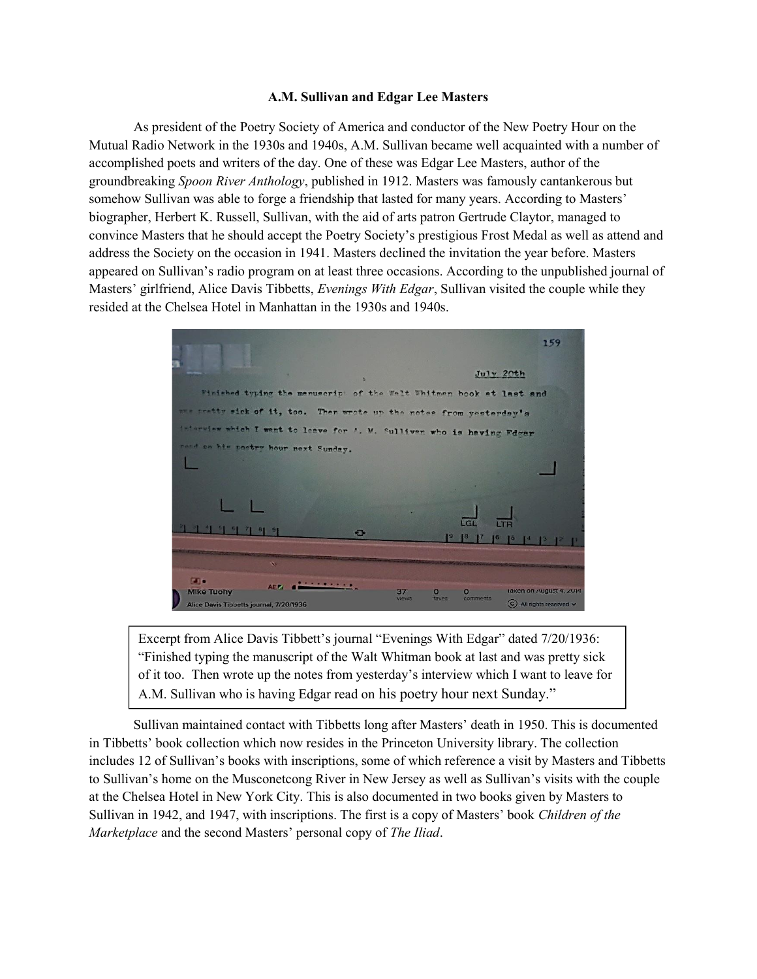## A.M. Sullivan and Edgar Lee Masters

 As president of the Poetry Society of America and conductor of the New Poetry Hour on the Mutual Radio Network in the 1930s and 1940s, A.M. Sullivan became well acquainted with a number of accomplished poets and writers of the day. One of these was Edgar Lee Masters, author of the groundbreaking Spoon River Anthology, published in 1912. Masters was famously cantankerous but somehow Sullivan was able to forge a friendship that lasted for many years. According to Masters' biographer, Herbert K. Russell, Sullivan, with the aid of arts patron Gertrude Claytor, managed to convince Masters that he should accept the Poetry Society's prestigious Frost Medal as well as attend and address the Society on the occasion in 1941. Masters declined the invitation the year before. Masters appeared on Sullivan's radio program on at least three occasions. According to the unpublished journal of Masters' girlfriend, Alice Davis Tibbetts, Evenings With Edgar, Sullivan visited the couple while they resided at the Chelsea Hotel in Manhattan in the 1930s and 1940s.

159  $J<sub>u</sub>$ lv 20th the menuscrip: of the Welt Whitmen book at last and  $1t.$  too. Then wrote up the notes M. Sulliven who is  $\overline{1}$ 年 44年 9  $\sqrt{2}$  $\Box$ Mike Tuohy  $\bullet$ C All rights rea Alice Davis Tibbetts io al. 7/20/193

Excerpt from Alice Davis Tibbett's journal "Evenings With Edgar" dated 7/20/1936: "Finished typing the manuscript of the Walt Whitman book at last and was pretty sick of it too. Then wrote up the notes from yesterday's interview which I want to leave for A.M. Sullivan who is having Edgar read on his poetry hour next Sunday."

 Sullivan maintained contact with Tibbetts long after Masters' death in 1950. This is documented in Tibbetts' book collection which now resides in the Princeton University library. The collection includes 12 of Sullivan's books with inscriptions, some of which reference a visit by Masters and Tibbetts to Sullivan's home on the Musconetcong River in New Jersey as well as Sullivan's visits with the couple at the Chelsea Hotel in New York City. This is also documented in two books given by Masters to Sullivan in 1942, and 1947, with inscriptions. The first is a copy of Masters' book Children of the Marketplace and the second Masters' personal copy of The Iliad.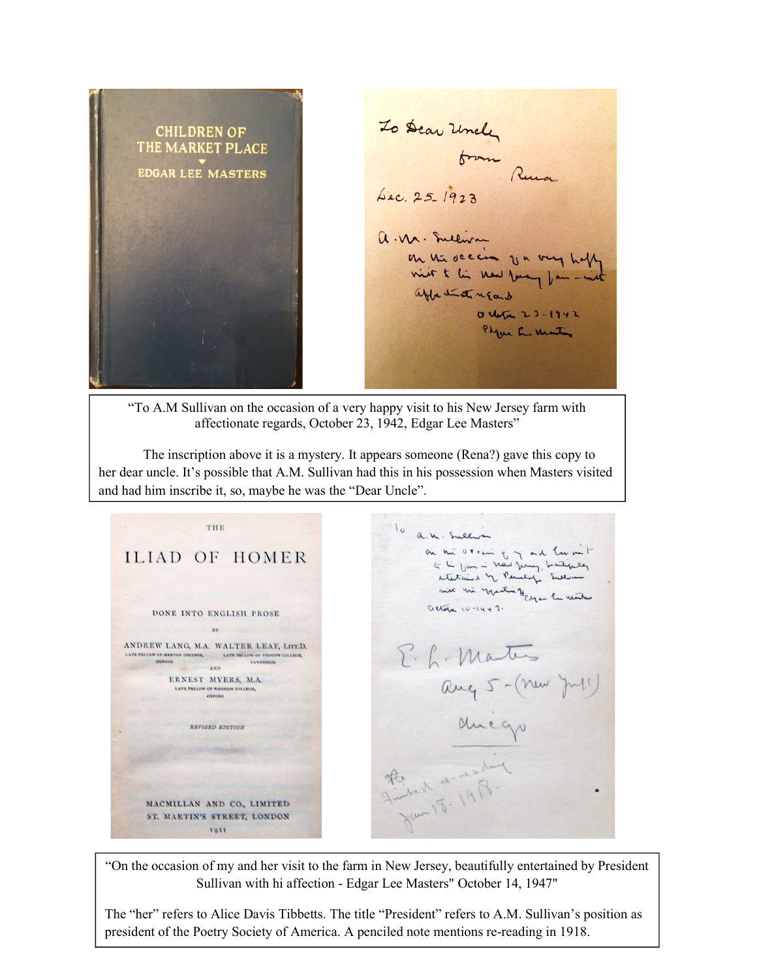To Dear Uncle **CHILDREN OF** THE MARKET PLACE brown Runa **EDGAR LEE MASTERS** Lec. 25-1923 a. M. Sullivan on the decision of a very hope vier t li new Young fan - with affective regard a cha 23-1942 Physic La Martin

"To A.M Sullivan on the occasion of a very happy visit to his New Jersey farm with affectionate regards, October 23, 1942, Edgar Lee Masters"

 The inscription above it is a mystery. It appears someone (Rena?) gave this copy to her dear uncle. It's possible that A.M. Sullivan had this in his possession when Masters visited and had him inscribe it, so, maybe he was the "Dear Uncle".

THE lo a.m. Sullin on the Ocean of in and her mit **ILIAD OF HOMER** mercinal of salary massive actories  $10 - 14 + 1$ . DONE INTO ENGLISH PROSE **BY** ANDREW LANG, M.A. WALTER LEAF, LITT.D. E. L. Martes  $\begin{tabular}{c|c} \textbf{LATE} & \textbf{FELLOW} & \textbf{CP} & \textbf{BELLOW} & \textbf{CP} & \textbf{TENH} \\ \hline & \textbf{QXPOND} & \textbf{QXPOND} & \textbf{LATE} & \textbf{FELLOW} & \textbf{CALBCGE}, \end{tabular}$ exposition COLLEGE MAND ang 5- (new July ERNEST MYERS, M.A. LATE FELLOW OF WADHAM COLLEN<br>OXFORD ducqu **REVISED EDITION** Friday de resident  $\bullet$ MACMILLAN AND CO., LIMITED ST. MARTIN'S STREET, LONDON torr

"On the occasion of my and her visit to the farm in New Jersey, beautifully entertained by President Sullivan with hi affection - Edgar Lee Masters" October 14, 1947"

The "her" refers to Alice Davis Tibbetts. The title "President" refers to A.M. Sullivan's position as president of the Poetry Society of America. A penciled note mentions re-reading in 1918.